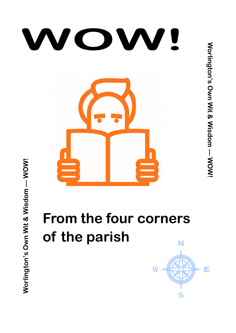

# **From the four corners of the parish**N

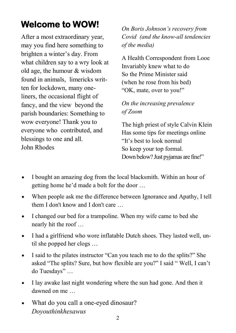# **Welcome to WOW!**

After a most extraordinary year, may you find here something to brighten a winter's day. From what children say to a wry look at old age, the humour & wisdom found in animals, limericks written for lockdown, many oneliners, the occasional flight of fancy, and the view beyond the parish boundaries: Something to wow everyone! Thank you to everyone who contributed, and blessings to one and all. John Rhodes

*On Boris Johnson's recovery from Covid (and the know-all tendencies of the media)*

A Health Correspondent from Looe Invariably knew what to do So the Prime Minister said (when he rose from his bed) "OK, mate, over to you!"

### *On the increasing prevalence of Zoom*

The high priest of style Calvin Klein Has some tips for meetings online "It's best to look normal So keep your top formal. Down below? Just pyjamas are fine!"

- I bought an amazing dog from the local blacksmith. Within an hour of getting home he'd made a bolt for the door …
- When people ask me the difference between Ignorance and Apathy, I tell them I don't know and I don't care …
- I changed our bed for a trampoline. When my wife came to bed she nearly hit the roof …
- I had a girlfriend who wore inflatable Dutch shoes. They lasted well, until she popped her clogs …
- I said to the pilates instructor "Can you teach me to do the splits?" She asked "The splits? Sure, but how flexible are you?" I said " Well, I can't do Tuesdays" …
- I lay awake last night wondering where the sun had gone. And then it dawned on me
- What do you call a one-eyed dinosaur? *Doyouthinkhesawus*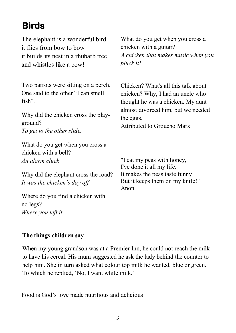## **Birds**

The elephant is a wonderful bird it flies from bow to bow it builds its nest in a rhubarb tree and whistles like a cow!

Two parrots were sitting on a perch. One said to the other "I can smell fish".

Why did the chicken cross the playground? *To get to the other slide.*

What do you get when you cross a chicken with a bell? *An alarm cluck*

Why did the elephant cross the road? *It was the chicken's day off*

Where do you find a chicken with no legs? *Where you left it*

What do you get when you cross a chicken with a guitar? *A chicken that makes music when you pluck it!*

Chicken? What's all this talk about chicken? Why, I had an uncle who thought he was a chicken. My aunt almost divorced him, but we needed the eggs.

Attributed to Groucho Marx

"I eat my peas with honey, I've done it all my life. It makes the peas taste funny But it keeps them on my knife!" Anon

#### **The things children say**

When my young grandson was at a Premier Inn, he could not reach the milk to have his cereal. His mum suggested he ask the lady behind the counter to help him. She in turn asked what colour top milk he wanted, blue or green. To which he replied, 'No, I want white milk.'

Food is God's love made nutritious and delicious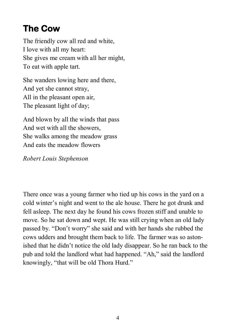# **The Cow**

The friendly cow all red and white, I love with all my heart: She gives me cream with all her might, To eat with apple tart.

She wanders lowing here and there, And yet she cannot stray, All in the pleasant open air, The pleasant light of day;

And blown by all the winds that pass And wet with all the showers, She walks among the meadow grass And eats the meadow flowers

#### *Robert Louis Stephenson*

There once was a young farmer who tied up his cows in the yard on a cold winter's night and went to the ale house. There he got drunk and fell asleep. The next day he found his cows frozen stiff and unable to move. So he sat down and wept. He was still crying when an old lady passed by. "Don't worry" she said and with her hands she rubbed the cows udders and brought them back to life. The farmer was so astonished that he didn't notice the old lady disappear. So he ran back to the pub and told the landlord what had happened. "Ah," said the landlord knowingly, "that will be old Thora Hurd."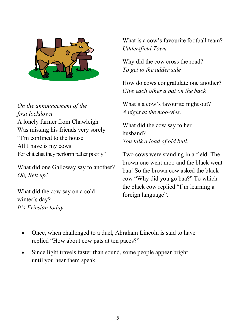

*On the announcement of the first lockdown* A lonely farmer from Chawleigh Was missing his friends very sorely "I'm confined to the house All I have is my cows For chit chat they perform rather poorly"

What did one Galloway say to another? *Oh, Belt up!*

What did the cow say on a cold winter's day? *It's Friesian today*.

What is a cow's favourite football team? *Uddersfield Town*

Why did the cow cross the road? *To get to the udder side*

How do cows congratulate one another? *Give each other a pat on the back*

What's a cow's favourite night out? *A night at the moo-vies*.

What did the cow say to her husband? *You talk a load of old bull*.

Two cows were standing in a field. The brown one went moo and the black went baa! So the brown cow asked the black cow "Why did you go baa?" To which the black cow replied "I'm learning a foreign language".

- Once, when challenged to a duel, Abraham Lincoln is said to have replied "How about cow pats at ten paces?"
- Since light travels faster than sound, some people appear bright until you hear them speak.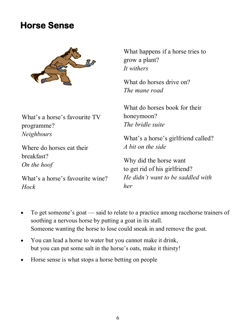### **Horse Sense**



What's a horse's favourite TV programme? *Neighbours*

Where do horses eat their breakfast? *On the hoof*

What's a horse's favourite wine? *Hock*

What happens if a horse tries to grow a plant? *It withers*

What do horses drive on? *The mane road*

What do horses book for their honeymoon? *The bridle suite*

What's a horse's girlfriend called? *A bit on the side*

Why did the horse want to get rid of his girlfriend? *He didn't want to be saddled with her*

- To get someone's goat said to relate to a practice among racehorse trainers of soothing a nervous horse by putting a goat in its stall. Someone wanting the horse to lose could sneak in and remove the goat.
- You can lead a horse to water but you cannot make it drink, but you can put some salt in the horse's oats, make it thirsty!
- Horse sense is what stops a horse betting on people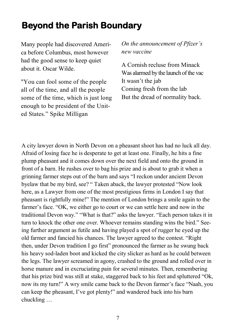### **Beyond the Parish Boundary**

Many people had discovered America before Columbus, most however had the good sense to keep quiet about it. Oscar Wilde.

"You can fool some of the people all of the time, and all the people some of the time, which is just long enough to be president of the United States." Spike Milligan

*On the announcement of Pfizer's new vaccine*

A Cornish recluse from Minack Was alarmed by the launch of the vac It wasn't the jab Coming fresh from the lab But the dread of normality back.

A city lawyer down in North Devon on a pheasant shoot has had no luck all day. Afraid of losing face he is desperate to get at least one. Finally, he hits a fine plump pheasant and it comes down over the next field and onto the ground in front of a barn. He rushes over to bag his prize and is about to grab it when a grinning farmer steps out of the barn and says "I reckon under ancient Devon byelaw that be my bird, see? " Taken aback, the lawyer protested "Now look here, as a Lawyer from one of the most prestigious firms in London I say that pheasant is rightfully mine!" The mention of London brings a smile again to the farmer's face. "OK, we either go to court or we can settle here and now in the traditional Devon way." "What is that?" asks the lawyer. "Each person takes it in turn to knock the other one over. Whoever remains standing wins the bird." Seeing further argument as futile and having played a spot of rugger he eyed up the old farmer and fancied his chances. The lawyer agreed to the contest. "Right then, under Devon tradition I go first" pronounced the farmer as he swung back his heavy sod-laden boot and kicked the city slicker as hard as he could between the legs. The lawyer screamed in agony, crashed to the ground and rolled over in horse manure and in excruciating pain for several minutes. Then, remembering that his prize bird was still at stake, staggered back to his feet and spluttered "Ok, now its my turn!" A wry smile came back to the Devon farmer's face "Naah, you can keep the pheasant, I've got plenty!" and wandered back into his barn chuckling …